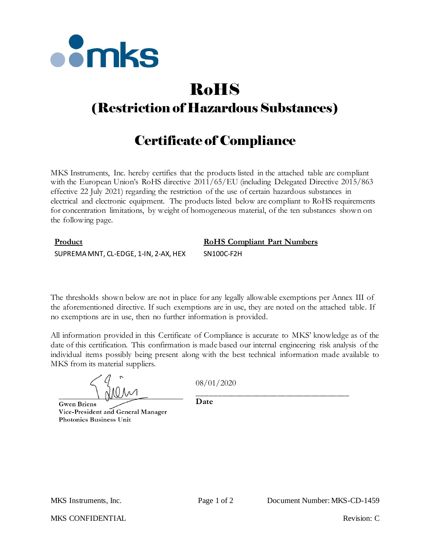

# RoHS

# (Restriction of Hazardous Substances)

# Certificate of Compliance

MKS Instruments, Inc. hereby certifies that the products listed in the attached table are compliant with the European Union's RoHS directive  $2011/65/EU$  (including Delegated Directive 2015/863 effective 22 July 2021) regarding the restriction of the use of certain hazardous substances in electrical and electronic equipment. The products listed below are compliant to RoHS requirements for concentration limitations, by weight of homogeneous material, of the ten substances shown on the following page.

## **Product RoHS Compliant Part Numbers** SUPREMA MNT, CL-EDGE, 1-IN, 2-AX, HEX SN100C-F2H

The thresholds shown below are not in place for any legally allowable exemptions per Annex III of the aforementioned directive. If such exemptions are in use, they are noted on the attached table. If no exemptions are in use, then no further information is provided.

All information provided in this Certificate of Compliance is accurate to MKS' knowledge as of the date of this certification. This confirmation is made based our internal engineering risk analysis of the individual items possibly being present along with the best technical information made available to MKS from its material suppliers.

08/01/2020

**Gwen Briens** Vice-President and General Manager **Photonics Business Unit** 

\_\_\_\_\_\_\_\_\_\_\_\_\_\_\_\_\_\_\_\_\_\_\_\_\_\_\_\_\_\_\_\_\_\_\_\_ **Date**

MKS CONFIDENTIAL THE CONFIDENTIAL Revision: C